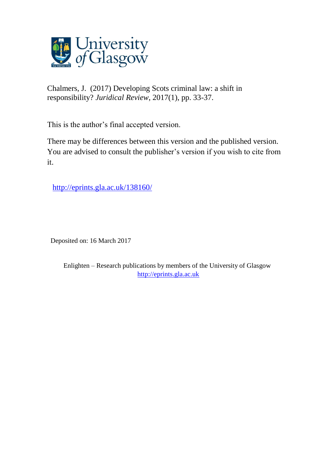

Chalmers, J. (2017) Developing Scots criminal law: a shift in responsibility? *Juridical Review*, 2017(1), pp. 33-37.

This is the author's final accepted version.

There may be differences between this version and the published version. You are advised to consult the publisher's version if you wish to cite from it.

<http://eprints.gla.ac.uk/138160/>

Deposited on: 16 March 2017

Enlighten – Research publications by members of the University of Glasgow [http://eprints.gla.ac.uk](http://eprints.gla.ac.uk/)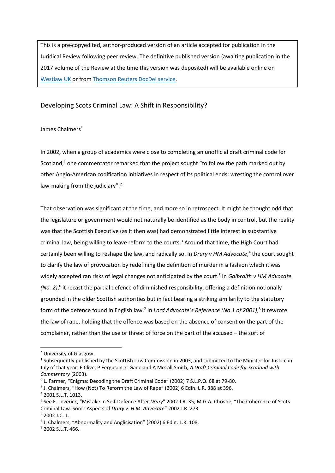This is a pre-copyedited, author-produced version of an article accepted for publication in the Juridical Review following peer review. The definitive published version (awaiting publication in the 2017 volume of the Review at the time this version was deposited) will be available online on [Westlaw UK](http://legalresearch.westlaw.co.uk/) or from [Thomson Reuters DocDel service.](http://www.sweetandmaxwell.co.uk/our-businesses/docdel.aspx)

## Developing Scots Criminal Law: A Shift in Responsibility?

## James Chalmers<sup>\*</sup>

In 2002, when a group of academics were close to completing an unofficial draft criminal code for Scotland, $1$  one commentator remarked that the project sought "to follow the path marked out by other Anglo-American codification initiatives in respect of its political ends: wresting the control over law-making from the judiciary".<sup>2</sup>

That observation was significant at the time, and more so in retrospect. It might be thought odd that the legislature or government would not naturally be identified as the body in control, but the reality was that the Scottish Executive (as it then was) had demonstrated little interest in substantive criminal law, being willing to leave reform to the courts.<sup>3</sup> Around that time, the High Court had certainly been willing to reshape the law, and radically so. In *Drury v HM Advocate*,<sup>4</sup> the court sought to clarify the law of provocation by redefining the definition of murder in a fashion which it was widely accepted ran risks of legal changes not anticipated by the court. 5 In *Galbraith v HM Advocate (No. 2)*, 6 it recast the partial defence of diminished responsibility, offering a definition notionally grounded in the older Scottish authorities but in fact bearing a striking similarilty to the statutory form of the defence found in English law.<sup>7</sup> In *Lord Advocate's Reference (No 1 of 2001)*, 8 it rewrote the law of rape, holding that the offence was based on the absence of consent on the part of the complainer, rather than the use or threat of force on the part of the accused – the sort of

<sup>\*</sup> University of Glasgow.

<sup>&</sup>lt;sup>1</sup> Subsequently published by the Scottish Law Commission in 2003, and submitted to the Minister for Justice in July of that year: E Clive, P Ferguson, C Gane and A McCall Smith, *A Draft Criminal Code for Scotland with Commentary* (2003).

<sup>&</sup>lt;sup>2</sup> L. Farmer, "Enigma: Decoding the Draft Criminal Code" (2002) 7 S.L.P.Q. 68 at 79-80.

 $3$  J. Chalmers, "How (Not) To Reform the Law of Rape" (2002) 6 Edin. L.R. 388 at 396.

<sup>4</sup> 2001 S.L.T. 1013.

<sup>5</sup> See F. Leverick, "Mistake in Self-Defence After *Drury*" 2002 J.R. 35; M.G.A. Christie, "The Coherence of Scots Criminal Law: Some Aspects of *Drury v. H.M. Advocate*" 2002 J.R. 273. <sup>6</sup> 2002 J.C. 1.

<sup>&</sup>lt;sup>7</sup> J. Chalmers, "Abnormality and Anglicisation" (2002) 6 Edin. L.R. 108.

<sup>8</sup> 2002 S.L.T. 466.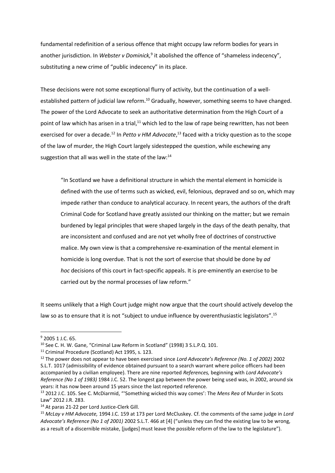fundamental redefinition of a serious offence that might occupy law reform bodies for years in another jurisdiction. In Webster v Dominick,<sup>9</sup> it abolished the offence of "shameless indecency", substituting a new crime of "public indecency" in its place.

These decisions were not some exceptional flurry of activity, but the continuation of a wellestablished pattern of judicial law reform.<sup>10</sup> Gradually, however, something seems to have changed. The power of the Lord Advocate to seek an authoritative determination from the High Court of a point of law which has arisen in a trial, $11$  which led to the law of rape being rewritten, has not been exercised for over a decade.<sup>12</sup> In *Petto v HM Advocate*,<sup>13</sup> faced with a tricky question as to the scope of the law of murder, the High Court largely sidestepped the question, while eschewing any suggestion that all was well in the state of the law: $^{14}$ 

"In Scotland we have a definitional structure in which the mental element in homicide is defined with the use of terms such as wicked, evil, felonious, depraved and so on, which may impede rather than conduce to analytical accuracy. In recent years, the authors of the draft Criminal Code for Scotland have greatly assisted our thinking on the matter; but we remain burdened by legal principles that were shaped largely in the days of the death penalty, that are inconsistent and confused and are not yet wholly free of doctrines of constructive malice. My own view is that a comprehensive re-examination of the mental element in homicide is long overdue. That is not the sort of exercise that should be done by *ad hoc* decisions of this court in fact-specific appeals. It is pre-eminently an exercise to be carried out by the normal processes of law reform."

It seems unlikely that a High Court judge might now argue that the court should actively develop the law so as to ensure that it is not "subject to undue influence by overenthusiastic legislators".<sup>15</sup>

**.** 

<sup>9</sup> 2005 1 J.C. 65.

<sup>10</sup> See C. H. W. Gane, "Criminal Law Reform in Scotland" (1998) 3 S.L.P.Q. 101.

<sup>11</sup> Criminal Procedure (Scotland) Act 1995, s. 123.

<sup>12</sup> The power does not appear to have been exercised since *Lord Advocate's Reference (No. 1 of 2002)* 2002 S.L.T. 1017 (admissibility of evidence obtained pursuant to a search warrant where police officers had been accompanied by a civilian employee). There are nine reported *References,* beginning with *Lord Advocate's Reference (No 1 of 1983)* 1984 J.C. 52. The longest gap between the power being used was, in 2002, around six years: it has now been around 15 years since the last reported reference.

<sup>13</sup> 2012 J.C. 105. See C. McDiarmid, "'Something wicked this way comes': The *Mens Rea* of Murder in Scots Law" 2012 J.R. 283.

<sup>&</sup>lt;sup>14</sup> At paras 21-22 per Lord Justice-Clerk Gill.

<sup>15</sup> *McLay v HM Advocate,* 1994 J.C. 159 at 173 per Lord McCluskey. Cf. the comments of the same judge in *Lord Advocate's Reference (No 1 of 2001)* 2002 S.L.T. 466 at [4] ("unless they can find the existing law to be wrong, as a result of a discernible mistake, [judges] must leave the possible reform of the law to the legislature").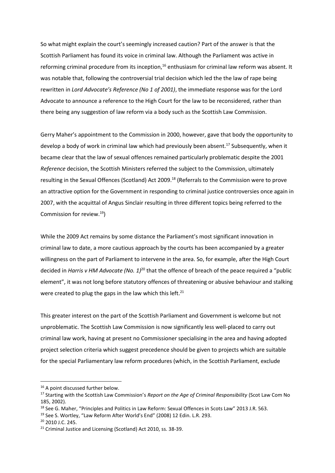So what might explain the court's seemingly increased caution? Part of the answer is that the Scottish Parliament has found its voice in criminal law. Although the Parliament was active in reforming criminal procedure from its inception,<sup>16</sup> enthusiasm for criminal law reform was absent. It was notable that, following the controversial trial decision which led the the law of rape being rewritten in *Lord Advocate's Reference (No 1 of 2001)*, the immediate response was for the Lord Advocate to announce a reference to the High Court for the law to be reconsidered, rather than there being any suggestion of law reform via a body such as the Scottish Law Commission.

Gerry Maher's appointment to the Commission in 2000, however, gave that body the opportunity to develop a body of work in criminal law which had previously been absent.<sup>17</sup> Subsequently, when it became clear that the law of sexual offences remained particularly problematic despite the 2001 *Reference* decision, the Scottish Ministers referred the subject to the Commission, ultimately resulting in the Sexual Offences (Scotland) Act 2009.<sup>18</sup> (Referrals to the Commission were to prove an attractive option for the Government in responding to criminal justice controversies once again in 2007, with the acquittal of Angus Sinclair resulting in three different topics being referred to the Commission for review.<sup>19</sup>)

While the 2009 Act remains by some distance the Parliament's most significant innovation in criminal law to date, a more cautious approach by the courts has been accompanied by a greater willingness on the part of Parliament to intervene in the area. So, for example, after the High Court decided in *Harris v HM Advocate (No. 1)*<sup>20</sup> that the offence of breach of the peace required a "public element", it was not long before statutory offences of threatening or abusive behaviour and stalking were created to plug the gaps in the law which this left. $21$ 

This greater interest on the part of the Scottish Parliament and Government is welcome but not unproblematic. The Scottish Law Commission is now significantly less well-placed to carry out criminal law work, having at present no Commissioner specialising in the area and having adopted project selection criteria which suggest precedence should be given to projects which are suitable for the special Parliamentary law reform procedures (which, in the Scottish Parliament, exclude

<sup>&</sup>lt;sup>16</sup> A point discussed further below.

<sup>17</sup> Starting with the Scottish Law Commission's *Report on the Age of Criminal Responsibility* (Scot Law Com No 185, 2002).

<sup>&</sup>lt;sup>18</sup> See G. Maher, "Principles and Politics in Law Reform: Sexual Offences in Scots Law" 2013 J.R. 563.

<sup>&</sup>lt;sup>19</sup> See S. Wortley, "Law Reform After World's End" (2008) 12 Edin. L.R. 293.

<sup>20</sup> 2010 J.C. 245.

<sup>&</sup>lt;sup>21</sup> Criminal Justice and Licensing (Scotland) Act 2010, ss. 38-39.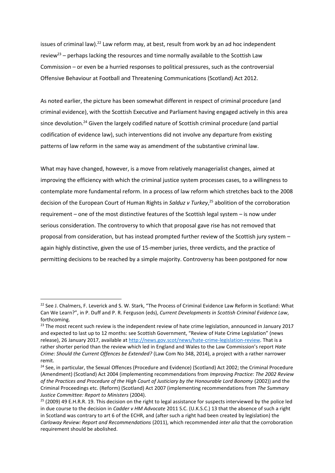issues of criminal law).<sup>22</sup> Law reform may, at best, result from work by an ad hoc independent review<sup>23</sup> – perhaps lacking the resources and time normally available to the Scottish Law Commission – or even be a hurried responses to political pressures, such as the controversial Offensive Behaviour at Football and Threatening Communications (Scotland) Act 2012.

As noted earlier, the picture has been somewhat different in respect of criminal procedure (and criminal evidence), with the Scottish Executive and Parliament having engaged actively in this area since devolution.<sup>24</sup> Given the largely codified nature of Scottish criminal procedure (and partial codification of evidence law), such interventions did not involve any departure from existing patterns of law reform in the same way as amendment of the substantive criminal law.

What may have changed, however, is a move from relatively managerialist changes, aimed at improving the efficiency with which the criminal justice system processes cases, to a willingness to contemplate more fundamental reform. In a process of law reform which stretches back to the 2008 decision of the European Court of Human Rights in *Salduz v Turkey*, <sup>25</sup> abolition of the corroboration requirement – one of the most distinctive features of the Scottish legal system – is now under serious consideration. The controversy to which that proposal gave rise has not removed that proposal from consideration, but has instead prompted further review of the Scottish jury system – again highly distinctive, given the use of 15-member juries, three verdicts, and the practice of permitting decisions to be reached by a simple majority. Controversy has been postponed for now

<sup>&</sup>lt;sup>22</sup> See J. Chalmers, F. Leverick and S. W. Stark, "The Process of Criminal Evidence Law Reform in Scotland: What Can We Learn?", in P. Duff and P. R. Ferguson (eds), *Current Developments in Scottish Criminal Evidence Law*, forthcoming.

<sup>&</sup>lt;sup>23</sup> The most recent such review is the independent review of hate crime legislation, announced in January 2017 and expected to last up to 12 months: see Scottish Government, "Review of Hate Crime Legislation" (news release), 26 January 2017, available at [http://news.gov.scot/news/hate-crime-legislation-review.](http://news.gov.scot/news/hate-crime-legislation-review) That is a rather shorter period than the review which led in England and Wales to the Law Commission's report *Hate Crime: Should the Current Offences be Extended?* (Law Com No 348, 2014), a project with a rather narrower remit.

<sup>&</sup>lt;sup>24</sup> See, in particular, the Sexual Offences (Procedure and Evidence) (Scotland) Act 2002; the Criminal Procedure (Amendment) (Scotland) Act 2004 (implementing recommendations from *Improving Practice: The 2002 Review of the Practices and Procedure of the High Court of Justiciary by the Honourable Lord Bonomy* (2002)) and the Criminal Proceedings etc. (Reform) (Scotland) Act 2007 (implementing recommendations from *The Summary Justice Committee: Report to Ministers* (2004).

 $25$  (2009) 49 E.H.R.R. 19. This decision on the right to legal assistance for suspects interviewed by the police led in due course to the decision in *Cadder v HM Advocate* 2011 S.C. (U.K.S.C.) 13 that the absence of such a right in Scotland was contrary to art 6 of the ECHR, and (after such a right had been created by legislation) the *Carloway Review: Report and Recommendations* (2011), which recommended *inter alia* that the corroboration requirement should be abolished.